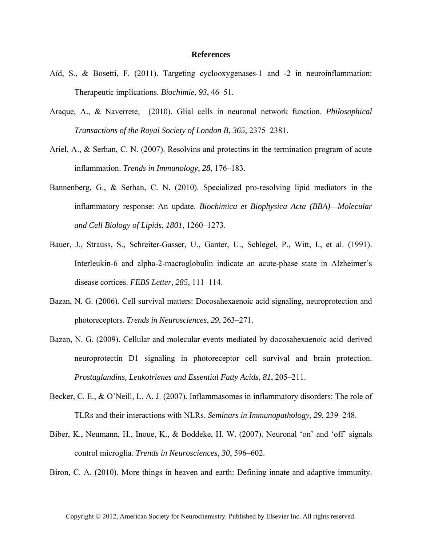## **References**

- Aïd, S., & Bosetti, F. (2011). Targeting cyclooxygenases-1 and -2 in neuroinflammation: Therapeutic implications. *Biochimie*, *93*, 46–51.
- Araque, A., & Naverrete, (2010). Glial cells in neuronal network function. *Philosophical Transactions of the Royal Society of London B*, *365*, 2375–2381.
- Ariel, A., & Serhan, C. N. (2007). Resolvins and protectins in the termination program of acute inflammation. *Trends in Immunology*, *28*, 176–183.
- Bannenberg, G., & Serhan, C. N. (2010). Specialized pro-resolving lipid mediators in the inflammatory response: An update. *Biochimica et Biophysica Acta (BBA)—Molecular and Cell Biology of Lipids*, *1801*, 1260–1273.
- Bauer, J., Strauss, S., Schreiter-Gasser, U., Ganter, U., Schlegel, P., Witt, I., et al. (1991). Interleukin-6 and alpha-2-macroglobulin indicate an acute-phase state in Alzheimer's disease cortices. *FEBS Letter*, *285*, 111–114.
- Bazan, N. G. (2006). Cell survival matters: Docosahexaenoic acid signaling, neuroprotection and photoreceptors. *Trends in Neurosciences*, *29*, 263–271.
- Bazan, N. G. (2009). Cellular and molecular events mediated by docosahexaenoic acid–derived neuroprotectin D1 signaling in photoreceptor cell survival and brain protection. *Prostaglandins, Leukotrienes and Essential Fatty Acids*, *81*, 205–211.
- Becker, C. E., & O'Neill, L. A. J. (2007). Inflammasomes in inflammatory disorders: The role of TLRs and their interactions with NLRs. *Seminars in Immunopathology*, *29*, 239–248.
- Biber, K., Neumann, H., Inoue, K., & Boddeke, H. W. (2007). Neuronal 'on' and 'off' signals control microglia. *Trends in Neurosciences*, *30*, 596–602.
- Biron, C. A. (2010). More things in heaven and earth: Defining innate and adaptive immunity.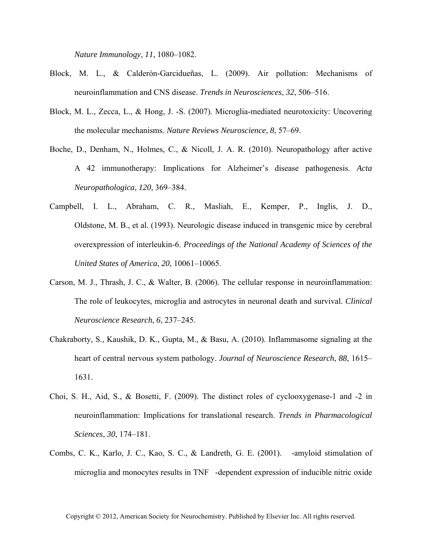*Nature Immunology*, *11*, 1080–1082.

- Block, M. L., & Calderón-Garcidueñas, L. (2009). Air pollution: Mechanisms of neuroinflammation and CNS disease. *Trends in Neurosciences*, *32*, 506–516.
- Block, M. L., Zecca, L., & Hong, J. -S. (2007). Microglia-mediated neurotoxicity: Uncovering the molecular mechanisms. *Nature Reviews Neuroscience*, *8*, 57–69.
- Boche, D., Denham, N., Holmes, C., & Nicoll, J. A. R. (2010). Neuropathology after active A42 immunotherapy: Implications for Alzheimer's disease pathogenesis. *Acta Neuropathologica*, *120*, 369–384.
- Campbell, I. L., Abraham, C. R., Masliah, E., Kemper, P., Inglis, J. D., Oldstone, M. B., et al. (1993). Neurologic disease induced in transgenic mice by cerebral overexpression of interleukin-6. *Proceedings of the National Academy of Sciences of the United States of America*, *20*, 10061–10065.
- Carson, M. J., Thrash, J. C., & Walter, B. (2006). The cellular response in neuroinflammation: The role of leukocytes, microglia and astrocytes in neuronal death and survival. *Clinical Neuroscience Research*, *6*, 237–245.
- Chakraborty, S., Kaushik, D. K., Gupta, M., & Basu, A. (2010). Inflammasome signaling at the heart of central nervous system pathology. *Journal of Neuroscience Research*, *88*, 1615– 1631.
- Choi, S. H., Aid, S., & Bosetti, F. (2009). The distinct roles of cyclooxygenase-1 and -2 in neuroinflammation: Implications for translational research. *Trends in Pharmacological Sciences*, *30*, 174–181.
- Combs, C. K., Karlo, J. C., Kao, S. C., & Landreth, G. E. (2001). -amyloid stimulation of microglia and monocytes results in TNF-dependent expression of inducible nitric oxide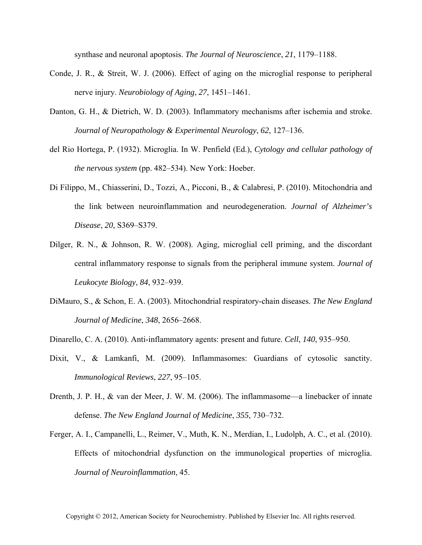synthase and neuronal apoptosis. *The Journal of Neuroscience*, *21*, 1179–1188.

- Conde, J. R., & Streit, W. J. (2006). Effect of aging on the microglial response to peripheral nerve injury. *Neurobiology of Aging*, *27*, 1451–1461.
- Danton, G. H., & Dietrich, W. D. (2003). Inflammatory mechanisms after ischemia and stroke. *Journal of Neuropathology & Experimental Neurology*, *62*, 127–136.
- del Rio Hortega, P. (1932). Microglia. In W. Penfield (Ed.), *Cytology and cellular pathology of the nervous system* (pp. 482–534). New York: Hoeber.
- Di Filippo, M., Chiasserini, D., Tozzi, A., Picconi, B., & Calabresi, P. (2010). Mitochondria and the link between neuroinflammation and neurodegeneration. *Journal of Alzheimer's Disease*, *20*, S369–S379.
- Dilger, R. N., & Johnson, R. W. (2008). Aging, microglial cell priming, and the discordant central inflammatory response to signals from the peripheral immune system. *Journal of Leukocyte Biology*, *84*, 932–939.
- DiMauro, S., & Schon, E. A. (2003). Mitochondrial respiratory-chain diseases. *The New England Journal of Medicine*, *348*, 2656–2668.
- Dinarello, C. A. (2010). Anti-inflammatory agents: present and future. *Cell*, *140*, 935–950.
- Dixit, V., & Lamkanfi, M. (2009). Inflammasomes: Guardians of cytosolic sanctity. *Immunological Reviews*, *227*, 95–105.
- Drenth, J. P. H., & van der Meer, J. W. M. (2006). The inflammasome—a linebacker of innate defense. *The New England Journal of Medicine*, *355*, 730–732.
- Ferger, A. I., Campanelli, L., Reimer, V., Muth, K. N., Merdian, I., Ludolph, A. C., et al. (2010). Effects of mitochondrial dysfunction on the immunological properties of microglia. *Journal of Neuroinflammation*, 45.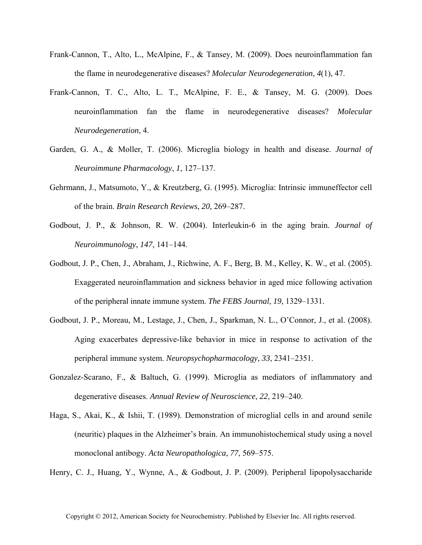- Frank-Cannon, T., Alto, L., McAlpine, F., & Tansey, M. (2009). Does neuroinflammation fan the flame in neurodegenerative diseases? *Molecular Neurodegeneration*, *4*(1), 47.
- Frank-Cannon, T. C., Alto, L. T., McAlpine, F. E., & Tansey, M. G. (2009). Does neuroinflammation fan the flame in neurodegenerative diseases? *Molecular Neurodegeneration*, 4.
- Garden, G. A., & Moller, T. (2006). Microglia biology in health and disease. *Journal of Neuroimmune Pharmacology*, *1*, 127–137.
- Gehrmann, J., Matsumoto, Y., & Kreutzberg, G. (1995). Microglia: Intrinsic immuneffector cell of the brain. *Brain Research Reviews*, *20*, 269–287.
- Godbout, J. P., & Johnson, R. W. (2004). Interleukin-6 in the aging brain. *Journal of Neuroimmunology*, *147*, 141–144.
- Godbout, J. P., Chen, J., Abraham, J., Richwine, A. F., Berg, B. M., Kelley, K. W., et al. (2005). Exaggerated neuroinflammation and sickness behavior in aged mice following activation of the peripheral innate immune system. *The FEBS Journal*, *19*, 1329–1331.
- Godbout, J. P., Moreau, M., Lestage, J., Chen, J., Sparkman, N. L., O'Connor, J., et al. (2008). Aging exacerbates depressive-like behavior in mice in response to activation of the peripheral immune system. *Neuropsychopharmacology*, *33*, 2341–2351.
- Gonzalez-Scarano, F., & Baltuch, G. (1999). Microglia as mediators of inflammatory and degenerative diseases. *Annual Review of Neuroscience*, *22*, 219–240.
- Haga, S., Akai, K., & Ishii, T. (1989). Demonstration of microglial cells in and around senile (neuritic) plaques in the Alzheimer's brain. An immunohistochemical study using a novel monoclonal antibogy. *Acta Neuropathologica*, *77*, 569–575.

Henry, C. J., Huang, Y., Wynne, A., & Godbout, J. P. (2009). Peripheral lipopolysaccharide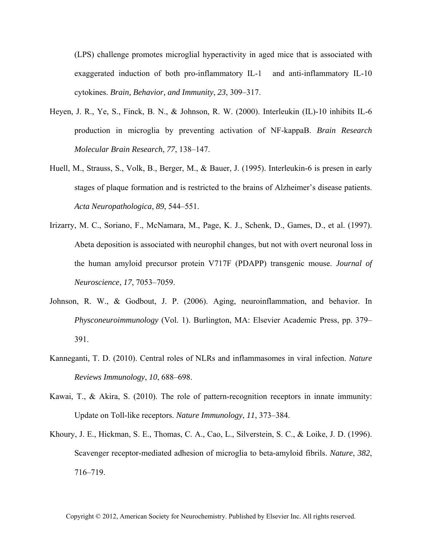(LPS) challenge promotes microglial hyperactivity in aged mice that is associated with exaggerated induction of both pro-inflammatory IL-1 and anti-inflammatory IL-10 cytokines. *Brain, Behavior, and Immunity*, *23*, 309–317.

- Heyen, J. R., Ye, S., Finck, B. N., & Johnson, R. W. (2000). Interleukin (IL)-10 inhibits IL-6 production in microglia by preventing activation of NF-kappaB. *Brain Research Molecular Brain Research*, *77*, 138–147.
- Huell, M., Strauss, S., Volk, B., Berger, M., & Bauer, J. (1995). Interleukin-6 is presen in early stages of plaque formation and is restricted to the brains of Alzheimer's disease patients. *Acta Neuropathologica*, *89*, 544–551.
- Irizarry, M. C., Soriano, F., McNamara, M., Page, K. J., Schenk, D., Games, D., et al. (1997). Abeta deposition is associated with neurophil changes, but not with overt neuronal loss in the human amyloid precursor protein V717F (PDAPP) transgenic mouse. *Journal of Neuroscience*, *17*, 7053–7059.
- Johnson, R. W., & Godbout, J. P. (2006). Aging, neuroinflammation, and behavior. In *Physconeuroimmunology* (Vol. 1). Burlington, MA: Elsevier Academic Press, pp. 379– 391.
- Kanneganti, T. D. (2010). Central roles of NLRs and inflammasomes in viral infection. *Nature Reviews Immunology*, *10*, 688–698.
- Kawai, T., & Akira, S. (2010). The role of pattern-recognition receptors in innate immunity: Update on Toll-like receptors. *Nature Immunology*, *11*, 373–384.
- Khoury, J. E., Hickman, S. E., Thomas, C. A., Cao, L., Silverstein, S. C., & Loike, J. D. (1996). Scavenger receptor-mediated adhesion of microglia to beta-amyloid fibrils. *Nature*, *382*, 716–719.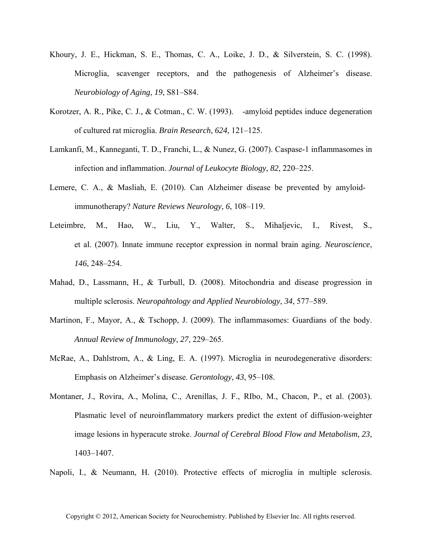- Khoury, J. E., Hickman, S. E., Thomas, C. A., Loike, J. D., & Silverstein, S. C. (1998). Microglia, scavenger receptors, and the pathogenesis of Alzheimer's disease. *Neurobiology of Aging*, *19*, S81–S84.
- Korotzer, A. R., Pike, C. J., & Cotman., C. W. (1993). -amyloid peptides induce degeneration of cultured rat microglia. *Brain Research*, *624*, 121–125.
- Lamkanfi, M., Kanneganti, T. D., Franchi, L., & Nunez, G. (2007). Caspase-1 inflammasomes in infection and inflammation. *Journal of Leukocyte Biology*, *82*, 220–225.
- Lemere, C. A., & Masliah, E. (2010). Can Alzheimer disease be prevented by amyloid immunotherapy? *Nature Reviews Neurology*, *6*, 108–119.
- Leteimbre, M., Hao, W., Liu, Y., Walter, S., Mihaljevic, I., Rivest, S., et al. (2007). Innate immune receptor expression in normal brain aging. *Neuroscience*, *146*, 248–254.
- Mahad, D., Lassmann, H., & Turbull, D. (2008). Mitochondria and disease progression in multiple sclerosis. *Neuropahtology and Applied Neurobiology*, *34*, 577–589.
- Martinon, F., Mayor, A., & Tschopp, J. (2009). The inflammasomes: Guardians of the body. *Annual Review of Immunology*, *27*, 229–265.
- McRae, A., Dahlstrom, A., & Ling, E. A. (1997). Microglia in neurodegenerative disorders: Emphasis on Alzheimer's disease. *Gerontology*, *43*, 95–108.
- Montaner, J., Rovira, A., Molina, C., Arenillas, J. F., RIbo, M., Chacon, P., et al. (2003). Plasmatic level of neuroinflammatory markers predict the extent of diffusion-weighter image lesions in hyperacute stroke. *Journal of Cerebral Blood Flow and Metabolism*, *23*, 1403–1407.
- Napoli, I., & Neumann, H. (2010). Protective effects of microglia in multiple sclerosis.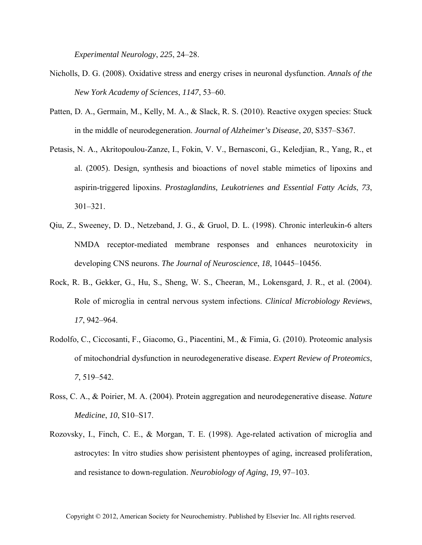*Experimental Neurology*, *225*, 24–28.

- Nicholls, D. G. (2008). Oxidative stress and energy crises in neuronal dysfunction. *Annals of the New York Academy of Sciences*, *1147*, 53–60.
- Patten, D. A., Germain, M., Kelly, M. A., & Slack, R. S. (2010). Reactive oxygen species: Stuck in the middle of neurodegeneration. *Journal of Alzheimer's Disease*, *20*, S357–S367.
- Petasis, N. A., Akritopoulou-Zanze, I., Fokin, V. V., Bernasconi, G., Keledjian, R., Yang, R., et al. (2005). Design, synthesis and bioactions of novel stable mimetics of lipoxins and aspirin-triggered lipoxins. *Prostaglandins, Leukotrienes and Essential Fatty Acids*, *73*, 301–321.
- Qiu, Z., Sweeney, D. D., Netzeband, J. G., & Gruol, D. L. (1998). Chronic interleukin-6 alters NMDA receptor-mediated membrane responses and enhances neurotoxicity in developing CNS neurons. *The Journal of Neuroscience*, *18*, 10445–10456.
- Rock, R. B., Gekker, G., Hu, S., Sheng, W. S., Cheeran, M., Lokensgard, J. R., et al. (2004). Role of microglia in central nervous system infections. *Clinical Microbiology Reviews*, *17*, 942–964.
- Rodolfo, C., Ciccosanti, F., Giacomo, G., Piacentini, M., & Fimia, G. (2010). Proteomic analysis of mitochondrial dysfunction in neurodegenerative disease. *Expert Review of Proteomics*, *7*, 519–542.
- Ross, C. A., & Poirier, M. A. (2004). Protein aggregation and neurodegenerative disease. *Nature Medicine*, *10*, S10–S17.
- Rozovsky, I., Finch, C. E., & Morgan, T. E. (1998). Age-related activation of microglia and astrocytes: In vitro studies show perisistent phentoypes of aging, increased proliferation, and resistance to down-regulation. *Neurobiology of Aging*, *19*, 97–103.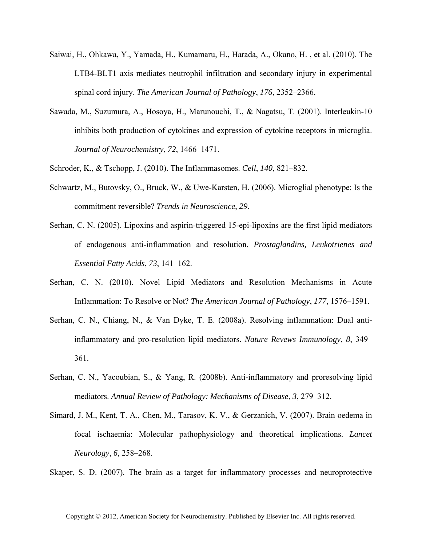- Saiwai, H., Ohkawa, Y., Yamada, H., Kumamaru, H., Harada, A., Okano, H. , et al. (2010). The LTB4-BLT1 axis mediates neutrophil infiltration and secondary injury in experimental spinal cord injury. *The American Journal of Pathology*, *176*, 2352–2366.
- Sawada, M., Suzumura, A., Hosoya, H., Marunouchi, T., & Nagatsu, T. (2001). Interleukin-10 inhibits both production of cytokines and expression of cytokine receptors in microglia. *Journal of Neurochemistry*, *72*, 1466–1471.
- Schroder, K., & Tschopp, J. (2010). The Inflammasomes. *Cell*, *140*, 821–832.
- Schwartz, M., Butovsky, O., Bruck, W., & Uwe-Karsten, H. (2006). Microglial phenotype: Is the commitment reversible? *Trends in Neuroscience*, *29.*
- Serhan, C. N. (2005). Lipoxins and aspirin-triggered 15-epi-lipoxins are the first lipid mediators of endogenous anti-inflammation and resolution. *Prostaglandins, Leukotrienes and Essential Fatty Acids*, *73*, 141–162.
- Serhan, C. N. (2010). Novel Lipid Mediators and Resolution Mechanisms in Acute Inflammation: To Resolve or Not? *The American Journal of Pathology*, *177*, 1576–1591.
- Serhan, C. N., Chiang, N., & Van Dyke, T. E. (2008a). Resolving inflammation: Dual antiinflammatory and pro-resolution lipid mediators. *Nature Revews Immunology*, *8*, 349– 361.
- Serhan, C. N., Yacoubian, S., & Yang, R. (2008b). Anti-inflammatory and proresolving lipid mediators. *Annual Review of Pathology: Mechanisms of Disease*, *3*, 279–312.
- Simard, J. M., Kent, T. A., Chen, M., Tarasov, K. V., & Gerzanich, V. (2007). Brain oedema in focal ischaemia: Molecular pathophysiology and theoretical implications. *Lancet Neurology*, *6*, 258–268.
- Skaper, S. D. (2007). The brain as a target for inflammatory processes and neuroprotective